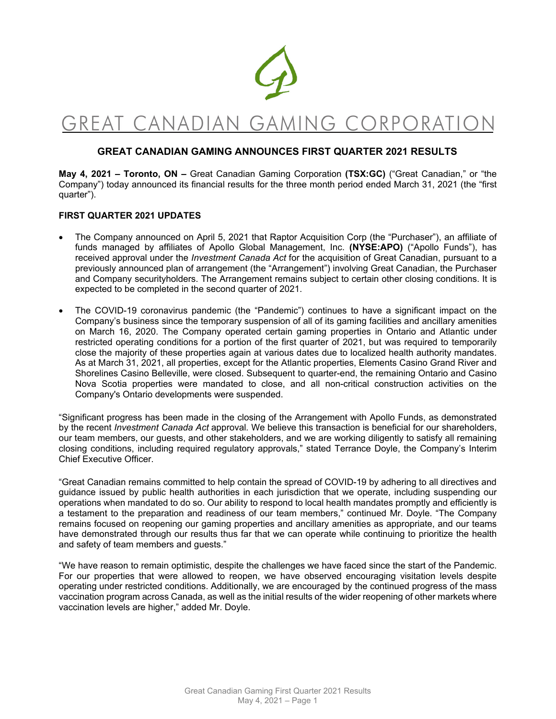

# GREAT CANADIAN GAMING CORPORATION

### **GREAT CANADIAN GAMING ANNOUNCES FIRST QUARTER 2021 RESULTS**

**May 4, 2021 – Toronto, ON –** Great Canadian Gaming Corporation **(TSX:GC)** ("Great Canadian," or "the Company") today announced its financial results for the three month period ended March 31, 2021 (the "first quarter").

#### **FIRST QUARTER 2021 UPDATES**

- The Company announced on April 5, 2021 that Raptor Acquisition Corp (the "Purchaser"), an affiliate of funds managed by affiliates of Apollo Global Management, Inc. **(NYSE:APO)** ("Apollo Funds"), has received approval under the *Investment Canada Act* for the acquisition of Great Canadian, pursuant to a previously announced plan of arrangement (the "Arrangement") involving Great Canadian, the Purchaser and Company securityholders. The Arrangement remains subject to certain other closing conditions. It is expected to be completed in the second quarter of 2021.
- The COVID-19 coronavirus pandemic (the "Pandemic") continues to have a significant impact on the Company's business since the temporary suspension of all of its gaming facilities and ancillary amenities on March 16, 2020. The Company operated certain gaming properties in Ontario and Atlantic under restricted operating conditions for a portion of the first quarter of 2021, but was required to temporarily close the majority of these properties again at various dates due to localized health authority mandates. As at March 31, 2021, all properties, except for the Atlantic properties, Elements Casino Grand River and Shorelines Casino Belleville, were closed. Subsequent to quarter-end, the remaining Ontario and Casino Nova Scotia properties were mandated to close, and all non-critical construction activities on the Company's Ontario developments were suspended.

"Significant progress has been made in the closing of the Arrangement with Apollo Funds, as demonstrated by the recent *Investment Canada Act* approval*.* We believe this transaction is beneficial for our shareholders, our team members, our guests, and other stakeholders, and we are working diligently to satisfy all remaining closing conditions, including required regulatory approvals," stated Terrance Doyle, the Company's Interim Chief Executive Officer.

"Great Canadian remains committed to help contain the spread of COVID-19 by adhering to all directives and guidance issued by public health authorities in each jurisdiction that we operate, including suspending our operations when mandated to do so. Our ability to respond to local health mandates promptly and efficiently is a testament to the preparation and readiness of our team members," continued Mr. Doyle. "The Company remains focused on reopening our gaming properties and ancillary amenities as appropriate, and our teams have demonstrated through our results thus far that we can operate while continuing to prioritize the health and safety of team members and guests."

"We have reason to remain optimistic, despite the challenges we have faced since the start of the Pandemic. For our properties that were allowed to reopen, we have observed encouraging visitation levels despite operating under restricted conditions. Additionally, we are encouraged by the continued progress of the mass vaccination program across Canada, as well as the initial results of the wider reopening of other markets where vaccination levels are higher," added Mr. Doyle.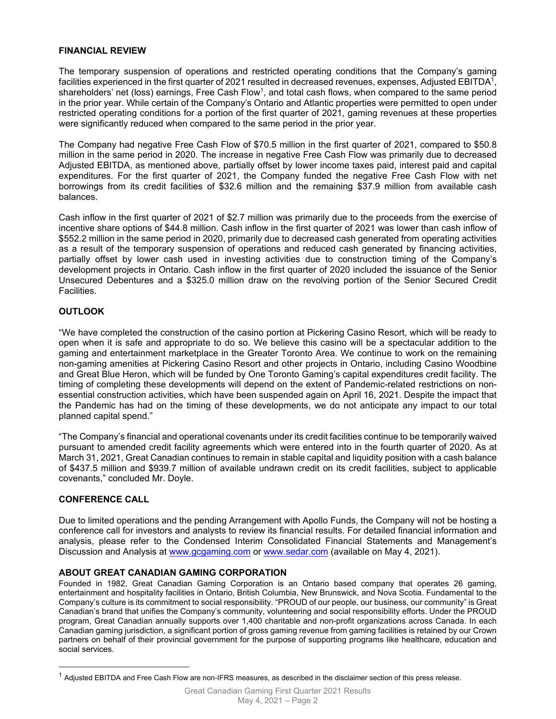#### **FINANCIAL REVIEW**

The temporary suspension of operations and restricted operating conditions that the Company's gaming facilities experienced in the first quarter of 2021 resulted in decreased revenues, expenses, Adjusted EBITDA<sup>1</sup>, shareholders' net (loss) earnings, Free Cash Flow<sup>1</sup>, and total cash flows, when compared to the same period in the prior year. While certain of the Company's Ontario and Atlantic properties were permitted to open under restricted operating conditions for a portion of the first quarter of 2021, gaming revenues at these properties were significantly reduced when compared to the same period in the prior year.

The Company had negative Free Cash Flow of \$70.5 million in the first quarter of 2021, compared to \$50.8 million in the same period in 2020. The increase in negative Free Cash Flow was primarily due to decreased Adjusted EBITDA, as mentioned above, partially offset by lower income taxes paid, interest paid and capital expenditures. For the first quarter of 2021, the Company funded the negative Free Cash Flow with net borrowings from its credit facilities of \$32.6 million and the remaining \$37.9 million from available cash balances.

Cash inflow in the first quarter of 2021 of \$2.7 million was primarily due to the proceeds from the exercise of incentive share options of \$44.8 million. Cash inflow in the first quarter of 2021 was lower than cash inflow of \$552.2 million in the same period in 2020, primarily due to decreased cash generated from operating activities as a result of the temporary suspension of operations and reduced cash generated by financing activities, partially offset by lower cash used in investing activities due to construction timing of the Company's development projects in Ontario. Cash inflow in the first quarter of 2020 included the issuance of the Senior Unsecured Debentures and a \$325.0 million draw on the revolving portion of the Senior Secured Credit Facilities.

### **OUTLOOK**

"We have completed the construction of the casino portion at Pickering Casino Resort, which will be ready to open when it is safe and appropriate to do so. We believe this casino will be a spectacular addition to the gaming and entertainment marketplace in the Greater Toronto Area. We continue to work on the remaining non-gaming amenities at Pickering Casino Resort and other projects in Ontario, including Casino Woodbine and Great Blue Heron, which will be funded by One Toronto Gaming's capital expenditures credit facility. The timing of completing these developments will depend on the extent of Pandemic-related restrictions on nonessential construction activities, which have been suspended again on April 16, 2021. Despite the impact that the Pandemic has had on the timing of these developments, we do not anticipate any impact to our total planned capital spend."

"The Company's financial and operational covenants under its credit facilities continue to be temporarily waived pursuant to amended credit facility agreements which were entered into in the fourth quarter of 2020. As at March 31, 2021, Great Canadian continues to remain in stable capital and liquidity position with a cash balance of \$437.5 million and \$939.7 million of available undrawn credit on its credit facilities, subject to applicable covenants," concluded Mr. Doyle.

### **CONFERENCE CALL**

Due to limited operations and the pending Arrangement with Apollo Funds, the Company will not be hosting a conference call for investors and analysts to review its financial results. For detailed financial information and analysis, please refer to the Condensed Interim Consolidated Financial Statements and Management's Discussion and Analysis at www.gcgaming.com or www.sedar.com (available on May 4, 2021).

#### **ABOUT GREAT CANADIAN GAMING CORPORATION**

Founded in 1982, Great Canadian Gaming Corporation is an Ontario based company that operates 26 gaming, entertainment and hospitality facilities in Ontario, British Columbia, New Brunswick, and Nova Scotia. Fundamental to the Company's culture is its commitment to social responsibility. "PROUD of our people, our business, our community" is Great Canadian's brand that unifies the Company's community, volunteering and social responsibility efforts. Under the PROUD program, Great Canadian annually supports over 1,400 charitable and non-profit organizations across Canada. In each Canadian gaming jurisdiction, a significant portion of gross gaming revenue from gaming facilities is retained by our Crown partners on behalf of their provincial government for the purpose of supporting programs like healthcare, education and social services.

 $1$  Adjusted EBITDA and Free Cash Flow are non-IFRS measures, as described in the disclaimer section of this press release.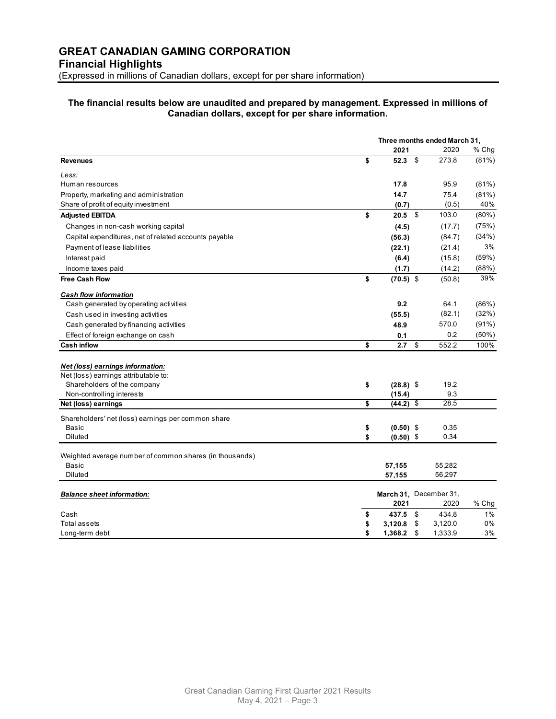#### **The financial results below are unaudited and prepared by management. Expressed in millions of Canadian dollars, except for per share information.**

|                                                         | Three months ended March 31, |    |                        |          |
|---------------------------------------------------------|------------------------------|----|------------------------|----------|
|                                                         | 2021                         |    | 2020                   | % Chg    |
| <b>Revenues</b>                                         | \$<br>52.3                   | \$ | 273.8                  | $(81\%)$ |
| Less:                                                   |                              |    |                        |          |
| Human resources                                         | 17.8                         |    | 95.9                   | (81%)    |
| Property, marketing and administration                  | 14.7                         |    | 75.4                   | $(81\%)$ |
| Share of profit of equity investment                    | (0.7)                        |    | (0.5)                  | 40%      |
| <b>Adjusted EBITDA</b>                                  | \$<br>20.5                   | \$ | 103.0                  | $(80\%)$ |
| Changes in non-cash working capital                     | (4.5)                        |    | (17.7)                 | (75%)    |
| Capital expenditures, net of related accounts payable   | (56.3)                       |    | (84.7)                 | (34%)    |
| Payment of lease liabilities                            | (22.1)                       |    | (21.4)                 | 3%       |
| Interest paid                                           | (6.4)                        |    | (15.8)                 | (59%)    |
| Income taxes paid                                       | (1.7)                        |    | (14.2)                 | (88%)    |
| <b>Free Cash Flow</b>                                   | \$<br>$(70.5)$ \$            |    | (50.8)                 | 39%      |
| <b>Cash flow information</b>                            |                              |    |                        |          |
| Cash generated by operating activities                  | 9.2                          |    | 64.1                   | (86%)    |
| Cash used in investing activities                       | (55.5)                       |    | (82.1)                 | (32%)    |
| Cash generated by financing activities                  | 48.9                         |    | 570.0                  | $(91\%)$ |
| Effect of foreign exchange on cash                      | 0.1                          |    | 0.2                    | $(50\%)$ |
| <b>Cash inflow</b>                                      | \$<br>2.7                    | \$ | 552.2                  | 100%     |
|                                                         |                              |    |                        |          |
| Net (loss) earnings information:                        |                              |    |                        |          |
| Net (loss) earnings attributable to:                    |                              |    |                        |          |
| Shareholders of the company                             | \$<br>$(28.8)$ \$            |    | 19.2                   |          |
| Non-controlling interests                               | (15.4)                       |    | 9.3                    |          |
| Net (loss) earnings                                     | \$<br>(44.2) \$              |    | 28.5                   |          |
| Shareholders' net (loss) earnings per common share      |                              |    |                        |          |
| Basic                                                   | \$<br>$(0.50)$ \$            |    | 0.35                   |          |
| <b>Diluted</b>                                          | \$<br>$(0.50)$ \$            |    | 0.34                   |          |
|                                                         |                              |    |                        |          |
| Weighted average number of common shares (in thousands) |                              |    |                        |          |
| <b>Basic</b><br>Diluted                                 | 57,155                       |    | 55,282<br>56,297       |          |
|                                                         | 57,155                       |    |                        |          |
| <b>Balance sheet information:</b>                       |                              |    | March 31, December 31, |          |
|                                                         | 2021                         |    | 2020                   | $%$ Chg  |
| Cash                                                    | \$<br>437.5                  | \$ | 434.8                  | 1%       |
| <b>Total assets</b>                                     | \$<br>3,120.8                | \$ | 3,120.0                | 0%       |
| Long-term debt                                          | \$<br>1,368.2                | \$ | 1,333.9                | 3%       |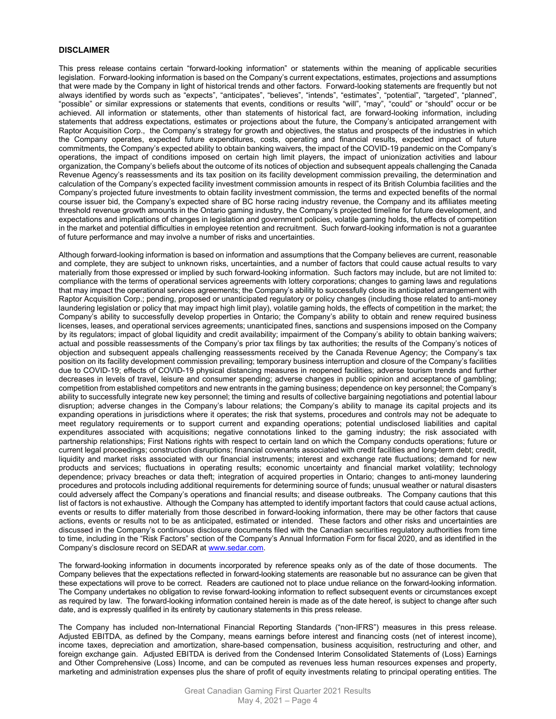#### **DISCLAIMER**

This press release contains certain "forward-looking information" or statements within the meaning of applicable securities legislation. Forward-looking information is based on the Company's current expectations, estimates, projections and assumptions that were made by the Company in light of historical trends and other factors. Forward-looking statements are frequently but not always identified by words such as "expects", "anticipates", "believes", "intends", "estimates", "potential", "targeted", "planned", "possible" or similar expressions or statements that events, conditions or results "will", "may", "could" or "should" occur or be achieved. All information or statements, other than statements of historical fact, are forward-looking information, including statements that address expectations, estimates or projections about the future, the Company's anticipated arrangement with Raptor Acquisition Corp., the Company's strategy for growth and objectives, the status and prospects of the industries in which the Company operates, expected future expenditures, costs, operating and financial results, expected impact of future commitments, the Company's expected ability to obtain banking waivers, the impact of the COVID-19 pandemic on the Company's operations, the impact of conditions imposed on certain high limit players, the impact of unionization activities and labour organization, the Company's beliefs about the outcome of its notices of objection and subsequent appeals challenging the Canada Revenue Agency's reassessments and its tax position on its facility development commission prevailing, the determination and calculation of the Company's expected facility investment commission amounts in respect of its British Columbia facilities and the Company's projected future investments to obtain facility investment commission, the terms and expected benefits of the normal course issuer bid, the Company's expected share of BC horse racing industry revenue, the Company and its affiliates meeting threshold revenue growth amounts in the Ontario gaming industry, the Company's projected timeline for future development, and expectations and implications of changes in legislation and government policies, volatile gaming holds, the effects of competition in the market and potential difficulties in employee retention and recruitment. Such forward-looking information is not a guarantee of future performance and may involve a number of risks and uncertainties.

Although forward-looking information is based on information and assumptions that the Company believes are current, reasonable and complete, they are subject to unknown risks, uncertainties, and a number of factors that could cause actual results to vary materially from those expressed or implied by such forward-looking information. Such factors may include, but are not limited to: compliance with the terms of operational services agreements with lottery corporations; changes to gaming laws and regulations that may impact the operational services agreements; the Company's ability to successfully close its anticipated arrangement with Raptor Acquisition Corp.; pending, proposed or unanticipated regulatory or policy changes (including those related to anti-money laundering legislation or policy that may impact high limit play), volatile gaming holds, the effects of competition in the market; the Company's ability to successfully develop properties in Ontario; the Company's ability to obtain and renew required business licenses, leases, and operational services agreements; unanticipated fines, sanctions and suspensions imposed on the Company by its regulators; impact of global liquidity and credit availability; impairment of the Company's ability to obtain banking waivers; actual and possible reassessments of the Company's prior tax filings by tax authorities; the results of the Company's notices of objection and subsequent appeals challenging reassessments received by the Canada Revenue Agency; the Company's tax position on its facility development commission prevailing; temporary business interruption and closure of the Company's facilities due to COVID-19; effects of COVID-19 physical distancing measures in reopened facilities; adverse tourism trends and further decreases in levels of travel, leisure and consumer spending; adverse changes in public opinion and acceptance of gambling; competition from established competitors and new entrants in the gaming business; dependence on key personnel; the Company's ability to successfully integrate new key personnel; the timing and results of collective bargaining negotiations and potential labour disruption; adverse changes in the Company's labour relations; the Company's ability to manage its capital projects and its expanding operations in jurisdictions where it operates; the risk that systems, procedures and controls may not be adequate to meet regulatory requirements or to support current and expanding operations; potential undisclosed liabilities and capital expenditures associated with acquisitions; negative connotations linked to the gaming industry; the risk associated with partnership relationships; First Nations rights with respect to certain land on which the Company conducts operations; future or current legal proceedings; construction disruptions; financial covenants associated with credit facilities and long-term debt; credit, liquidity and market risks associated with our financial instruments; interest and exchange rate fluctuations; demand for new products and services; fluctuations in operating results; economic uncertainty and financial market volatility; technology dependence; privacy breaches or data theft; integration of acquired properties in Ontario; changes to anti-money laundering procedures and protocols including additional requirements for determining source of funds; unusual weather or natural disasters could adversely affect the Company's operations and financial results; and disease outbreaks. The Company cautions that this list of factors is not exhaustive. Although the Company has attempted to identify important factors that could cause actual actions, events or results to differ materially from those described in forward-looking information, there may be other factors that cause actions, events or results not to be as anticipated, estimated or intended. These factors and other risks and uncertainties are discussed in the Company's continuous disclosure documents filed with the Canadian securities regulatory authorities from time to time, including in the "Risk Factors" section of the Company's Annual Information Form for fiscal 2020, and as identified in the Company's disclosure record on SEDAR at www.sedar.com.

The forward-looking information in documents incorporated by reference speaks only as of the date of those documents. The Company believes that the expectations reflected in forward-looking statements are reasonable but no assurance can be given that these expectations will prove to be correct. Readers are cautioned not to place undue reliance on the forward-looking information. The Company undertakes no obligation to revise forward-looking information to reflect subsequent events or circumstances except as required by law. The forward-looking information contained herein is made as of the date hereof, is subject to change after such date, and is expressly qualified in its entirety by cautionary statements in this press release.

The Company has included non-International Financial Reporting Standards ("non-IFRS") measures in this press release. Adjusted EBITDA, as defined by the Company, means earnings before interest and financing costs (net of interest income), income taxes, depreciation and amortization, share-based compensation, business acquisition, restructuring and other, and foreign exchange gain. Adjusted EBITDA is derived from the Condensed Interim Consolidated Statements of (Loss) Earnings and Other Comprehensive (Loss) Income, and can be computed as revenues less human resources expenses and property, marketing and administration expenses plus the share of profit of equity investments relating to principal operating entities. The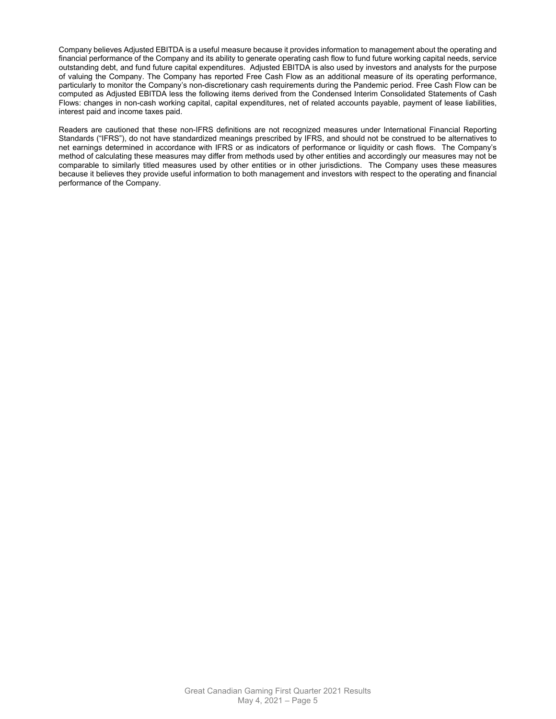Company believes Adjusted EBITDA is a useful measure because it provides information to management about the operating and financial performance of the Company and its ability to generate operating cash flow to fund future working capital needs, service outstanding debt, and fund future capital expenditures. Adjusted EBITDA is also used by investors and analysts for the purpose of valuing the Company. The Company has reported Free Cash Flow as an additional measure of its operating performance, particularly to monitor the Company's non-discretionary cash requirements during the Pandemic period. Free Cash Flow can be computed as Adjusted EBITDA less the following items derived from the Condensed Interim Consolidated Statements of Cash Flows: changes in non-cash working capital, capital expenditures, net of related accounts payable, payment of lease liabilities, interest paid and income taxes paid.

Readers are cautioned that these non-IFRS definitions are not recognized measures under International Financial Reporting Standards ("IFRS"), do not have standardized meanings prescribed by IFRS, and should not be construed to be alternatives to net earnings determined in accordance with IFRS or as indicators of performance or liquidity or cash flows. The Company's method of calculating these measures may differ from methods used by other entities and accordingly our measures may not be comparable to similarly titled measures used by other entities or in other jurisdictions. The Company uses these measures because it believes they provide useful information to both management and investors with respect to the operating and financial performance of the Company.